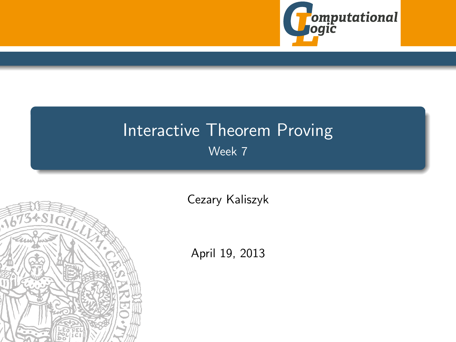

# Interactive Theorem Proving Week 7

<span id="page-0-0"></span>

[Cezary Kaliszyk](http://cl-informatik.uibk.ac.at/~cek)

April 19, 2013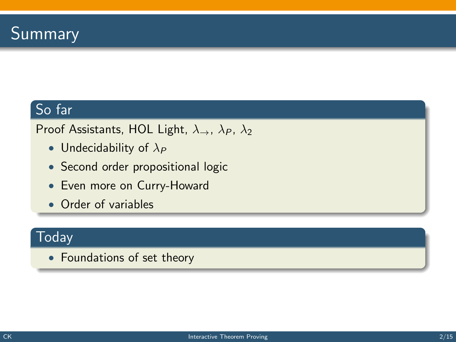## So far

Proof Assistants, HOL Light,  $\lambda_{\rightarrow}$ ,  $\lambda_{P}$ ,  $\lambda_{2}$ 

- Undecidability of  $\lambda_P$
- Second order propositional logic
- Even more on Curry-Howard
- Order of variables

#### **Today**

• Foundations of set theory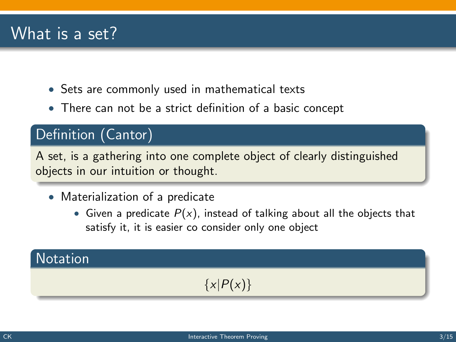## What is a set?

- Sets are commonly used in mathematical texts
- There can not be a strict definition of a basic concept

### Definition (Cantor)

A set, is a gathering into one complete object of clearly distinguished objects in our intuition or thought.

- Materialization of a predicate
	- Given a predicate  $P(x)$ , instead of talking about all the objects that satisfy it, it is easier co consider only one object

### **Notation**

## $\{x|P(x)\}\$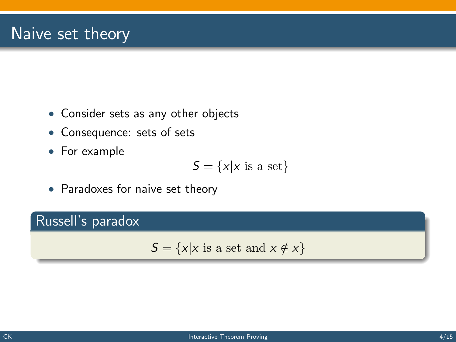## Naive set theory

- Consider sets as any other objects
- Consequence: sets of sets
- For example

$$
S = \{x | x \text{ is a set}\}
$$

• Paradoxes for naive set theory

#### Russell's paradox

 $S = \{x | x \text{ is a set and } x \notin x\}$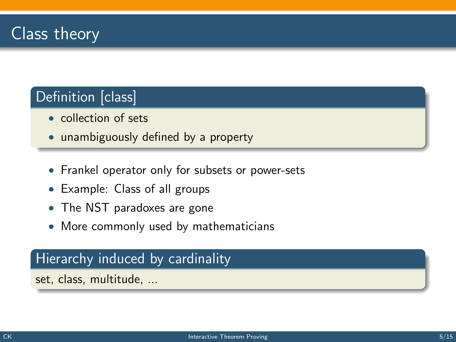## Definition [class]

- collection of sets
- unambiguously defined by a property
- Frankel operator only for subsets or power-sets
- Example: Class of all groups
- The NST paradoxes are gone
- More commonly used by mathematicians

#### Hierarchy induced by cardinality

set, class, multitude, ...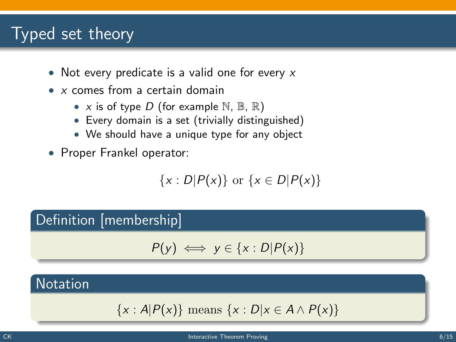## Typed set theory

- Not every predicate is a valid one for every  $x$
- x comes from a certain domain
	- x is of type D (for example  $\mathbb{N}, \mathbb{B}, \mathbb{R}$ )
	- Every domain is a set (trivially distinguished)
	- We should have a unique type for any object
- Proper Frankel operator:

$$
\{x: D|P(x)\} \text{ or } \{x \in D|P(x)\}
$$

#### Definition [membership]

$$
P(y) \iff y \in \{x : D | P(x)\}
$$

#### **Notation**

$$
\{x : A|P(x)\} \text{ means } \{x : D|x \in A \land P(x)\}
$$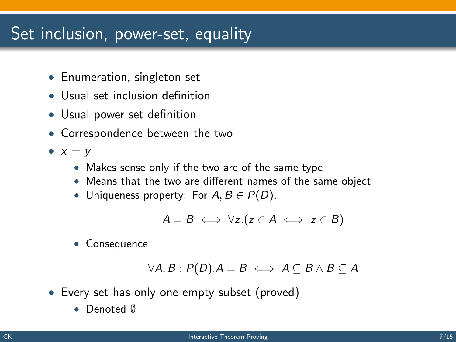## Set inclusion, power-set, equality

- Enumeration, singleton set
- Usual set inclusion definition
- Usual power set definition
- Correspondence between the two
- $x = y$ 
	- Makes sense only if the two are of the same type
	- Means that the two are different names of the same object
	- Uniqueness property: For  $A, B \in P(D)$ ,

$$
A = B \iff \forall z. (z \in A \iff z \in B)
$$

• Consequence

$$
\forall A, B: P(D). A = B \iff A \subseteq B \land B \subseteq A
$$

- Every set has only one empty subset (proved)
	- Denoted ∅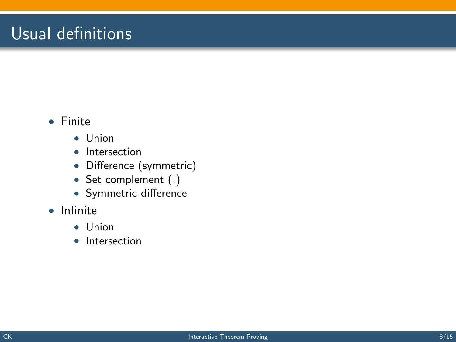## Usual definitions

#### • Finite

- Union
- Intersection
- Difference (symmetric)
- Set complement (!)
- Symmetric difference
- Infinite
	- Union
	- Intersection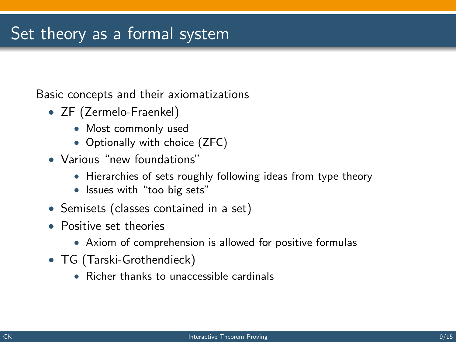## Set theory as a formal system

Basic concepts and their axiomatizations

- ZF (Zermelo-Fraenkel)
	- Most commonly used
	- Optionally with choice (ZFC)
- Various "new foundations"
	- Hierarchies of sets roughly following ideas from type theory
	- Issues with "too big sets"
- Semisets (classes contained in a set)
- Positive set theories
	- Axiom of comprehension is allowed for positive formulas
- TG (Tarski-Grothendieck)
	- Richer thanks to unaccessible cardinals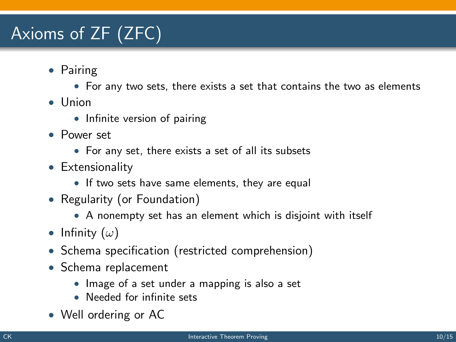# Axioms of ZF (ZFC)

- Pairing
	- For any two sets, there exists a set that contains the two as elements
- Union
	- Infinite version of pairing
- Power set
	- For any set, there exists a set of all its subsets
- Extensionality
	- If two sets have same elements, they are equal
- Regularity (or Foundation)
	- A nonempty set has an element which is disjoint with itself
- Infinity  $(\omega)$
- Schema specification (restricted comprehension)
- Schema replacement
	- Image of a set under a mapping is also a set
	- Needed for infinite sets
- Well ordering or AC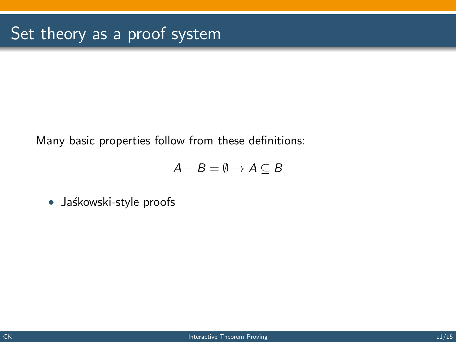Many basic properties follow from these definitions:

$$
A - B = \emptyset \rightarrow A \subseteq B
$$

• Jaśkowski-style proofs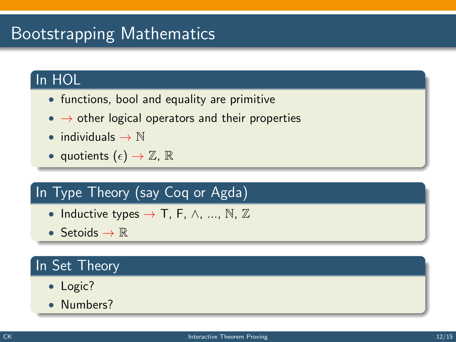# Bootstrapping Mathematics

### In HOL

- functions, bool and equality are primitive
- $\bullet \rightarrow$  other logical operators and their properties
- individuals  $\rightarrow \mathbb{N}$
- quotients  $(\epsilon) \to \mathbb{Z}$ ,  $\mathbb{R}$

## In Type Theory (say Coq or Agda)

- Inductive types  $\rightarrow$  T, F,  $\wedge$ , ..., N, Z
- Setoids  $\rightarrow \mathbb{R}$

## In Set Theory

- Logic?
- Numbers?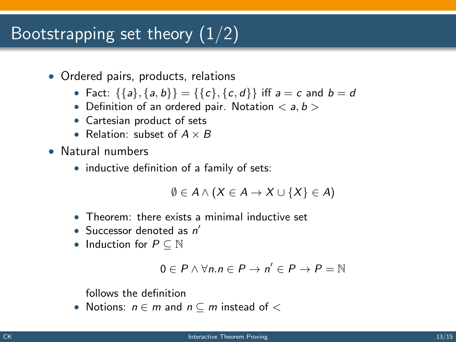# Bootstrapping set theory  $(1/2)$

- Ordered pairs, products, relations
	- Fact:  $\{\{a\},\{a,b\}\} = \{\{c\},\{c,d\}\}\$ iff  $a = c$  and  $b = d$
	- Definition of an ordered pair. Notation  $\langle a, b \rangle$
	- Cartesian product of sets
	- Relation: subset of  $A \times B$
- Natural numbers
	- inductive definition of a family of sets:

$$
\emptyset \in A \wedge (X \in A \to X \cup \{X\} \in A)
$$

- Theorem: there exists a minimal inductive set
- Successor denoted as  $n'$
- Induction for  $P \subseteq \mathbb{N}$

$$
0\in P\wedge\forall n.n\in P\to n'\in P\to P=\mathbb{N}
$$

follows the definition

• Notions:  $n \in m$  and  $n \subseteq m$  instead of  $\lt$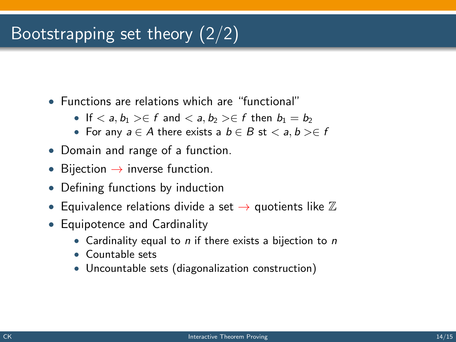# Bootstrapping set theory (2/2)

- Functions are relations which are "functional"
	- If  $\langle a, b_1 \rangle \in f$  and  $\langle a, b_2 \rangle \in f$  then  $b_1 = b_2$
	- For any  $a \in A$  there exists a  $b \in B$  st  $\langle a, b \rangle \in f$
- Domain and range of a function.
- Bijection  $\rightarrow$  inverse function.
- Defining functions by induction
- Equivalence relations divide a set  $\rightarrow$  quotients like  $\mathbb Z$
- Equipotence and Cardinality
	- Cardinality equal to  $n$  if there exists a bijection to  $n$
	- Countable sets
	- Uncountable sets (diagonalization construction)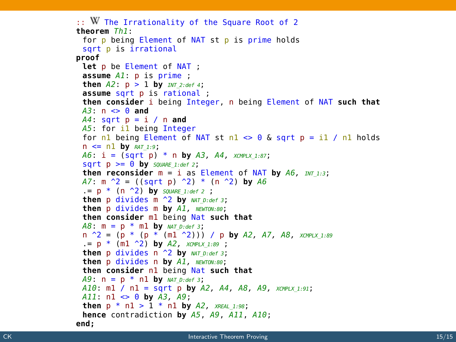```
\therefore W The Irrationality of the Square Root of 2
theorem Th<sub>1</sub>:
 for p being Element of NAT st p is prime holds
 sqrt p is irrational
proof
 Let p be Element of NAT ;
 \overline{A} D \overline{A} D \overline{B} D \overline{B} D \overline{C} D \overline{D} D \overline{D} D \overline{D} D \overline{D} D \overline{D} D \overline{D} D \overline{D} D \overline{D} D \overline{D} D \overline{D} D \overline{D} D \overline{D} D 
 then A2: p > 1 by INT 2: def 4;
 assume sqrt p is rational;
 then consider i being Integer, n being Element of NAT such that
 A3: n \leq 0 and
 A4: sqrt p = i / n and
 A5: for il being Integer
 for nl being Element of NAT st nl \approx 0 & sart p = il / nl holds
 n \leq n1 by RAT_1.9;
 A6: i = (sqrt p) * n by A3, A4, xompLx 1:87;\text{sort } D \geq 0 by SOUARE 1:def 2:
 then reconsider m = i as Element of NAT by A6. mr \rightarrow 3;
 A7: m^2 = ((sqrt p)^2) * (n^2) by A6= p * (n \rightharpoonup 2) by square 1:def 2;
 then p divides m \sim 2 by NAT D:def 3;
 then p divides m bv Al. NEWTON:80:
 then consider ml being Nat such that
 A8: m = p * m1 by NAT D: def 3:
 n \hat{P} = (p * (p * (m1 \hat{P}))) / p by A2, A7, A8, xay PLX 1:89
  p * (m1 \t2) by A2, xcMPLX 1:89 ;
 then p divides n \uparrow 2 by NAT D:def 3:
 then p divides n by A1, NEWTON:80;
 then consider nl being Nat such that
 A9: n = p * n1 by NAT D:def 3;
 A10: ml / nl = sqrt p by A2, A4, A8, A9, XCMPLX 1:91;
 A11: n1 \iff 0 by A3, A9;then p * n1 > 1 * n1 by A2, x_{REAL 1:98};
 hence contradiction by A5, A9, A11, A10:
end:
```